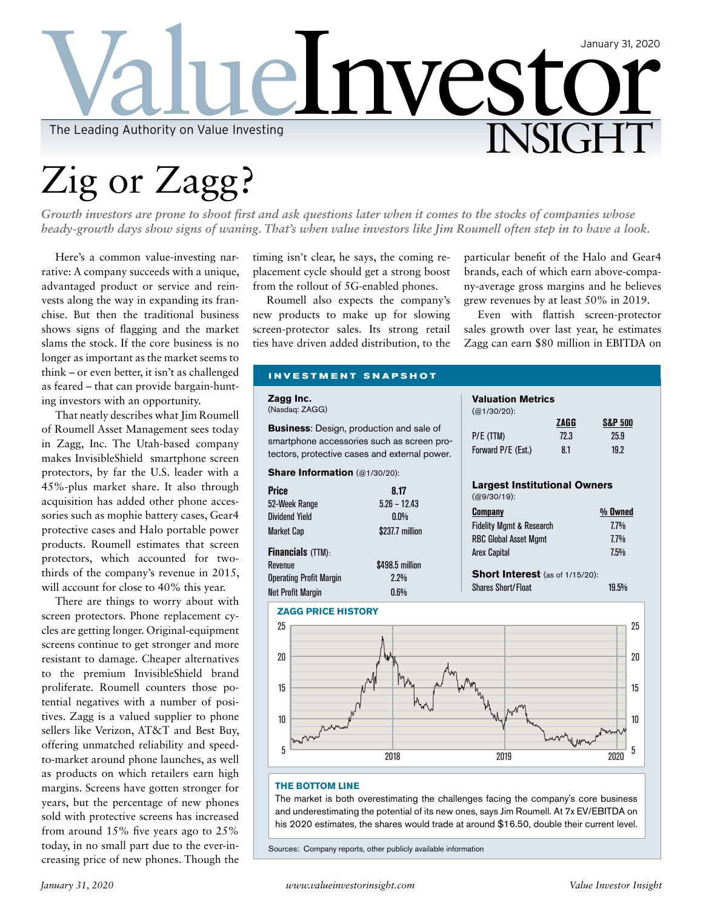

## Zig or Zagg?

*Growth investors are prone to shoot first and ask questions later when it comes to the stocks of companies whose heady-growth days show signs of waning. That's when value investors like Jim Roumell often step in to have a look.* 

Here's a common value-investing narrative: A company succeeds with a unique, advantaged product or service and reinvests along the way in expanding its franchise. But then the traditional business shows signs of flagging and the market slams the stock. If the core business is no longer as important as the market seems to think – or even better, it isn't as channel as feared  $-$  that can provide barga ing investors with an opportunity.

That neatly describes what Jim of Roumell Asset Management se in Zagg, Inc. The Utah-based makes InvisibleShield smartphone protectors, by far the U.S. leader 45%-plus market share. It also acquisition has added other phosories such as mophie battery case protective cases and Halo portab products. Roumell estimates tha protectors, which accounted f thirds of the company's revenue will account for close to 40% thi

There are things to worry ab screen protectors. Phone replace cles are getting longer. Original-eq screens continue to get stronger a resistant to damage. Cheaper alt to the premium InvisibleShield proliferate. Roumell counters th tential negatives with a number tives. Zagg is a valued supplier sellers like Verizon, AT&T and offering unmatched reliability and to-market around phone launche as products on which retailers e margins. Screens have gotten stro years, but the percentage of new sold with protective screens has increased from around 15% five years ago to 25% today, in no small part due to the ever-increasing price of new phones. Though the

timing isn't clear, he says, the coming replacement cycle should get a strong boost from the rollout of 5G-enabled phones.

Roumell also expects the company's new products to make up for slowing screen-protector sales. Its strong retail ties have driven added distribution, to the particular benefit of the Halo and Gear4 brands, each of which earn above-company-average gross margins and he believes grew revenues by at least 50% in 2019.

Even with flattish screen-protector sales growth over last year, he estimates Zagg can earn \$80 million in EBITDA on

| nallenged            | <b>INVESTMENT SNAPSHOT</b>                                                                                                                                                                               |                                        |                            |
|----------------------|----------------------------------------------------------------------------------------------------------------------------------------------------------------------------------------------------------|----------------------------------------|----------------------------|
| ain-hunt-            | Zagg Inc.                                                                                                                                                                                                | <b>Valuation Metrics</b>               |                            |
| Roumell              | (Nasdaq: ZAGG)                                                                                                                                                                                           | $(Q1/30/20)$ :                         |                            |
| ees today            | <b>Business:</b> Design, production and sale of                                                                                                                                                          |                                        | ZAGG<br><b>S&amp;P 500</b> |
|                      | smartphone accessories such as screen pro-                                                                                                                                                               | P/E (TTM)                              | 25.9<br>72.3               |
| company<br>ne screen | tectors, protective cases and external power.                                                                                                                                                            | Forward P/E (Est.)                     | 19.2<br>8.1                |
| r with a             | Share Information (@1/30/20):                                                                                                                                                                            |                                        |                            |
| through              |                                                                                                                                                                                                          | <b>Largest Institutional Owners</b>    |                            |
| ne acces-            | <b>Price</b><br>8.17                                                                                                                                                                                     | $(Q9/30/19)$ :                         |                            |
| es, Gear4            | 52-Week Range<br>$5.26 - 12.43$<br>0.0%                                                                                                                                                                  | <b>Company</b>                         | % Owned                    |
|                      | <b>Dividend Yield</b>                                                                                                                                                                                    | <b>Fidelity Mgmt &amp; Research</b>    | 7.7%                       |
| le power             | \$237.7 million<br><b>Market Cap</b>                                                                                                                                                                     | <b>RBC Global Asset Momt</b>           | 7.7%                       |
| at screen            | <b>Financials (TTM):</b>                                                                                                                                                                                 | <b>Arex Capital</b>                    | 7.5%                       |
| or two-              | Revenue<br>\$498.5 million                                                                                                                                                                               |                                        |                            |
| in 2015,             | 2.2%<br><b>Operating Profit Margin</b>                                                                                                                                                                   | <b>Short Interest</b> (as of 1/15/20): |                            |
| s year.              | 0.6%<br><b>Net Profit Margin</b>                                                                                                                                                                         | <b>Shares Short/Float</b>              | 19.5%                      |
| out with             | <b>ZAGG PRICE HISTORY</b>                                                                                                                                                                                |                                        |                            |
| ment cy-             | 25                                                                                                                                                                                                       |                                        | 25                         |
| quipment             |                                                                                                                                                                                                          |                                        |                            |
| ınd more             | 20                                                                                                                                                                                                       |                                        | 20                         |
| ernatives            |                                                                                                                                                                                                          |                                        |                            |
| d brand              |                                                                                                                                                                                                          |                                        |                            |
| hose po-             | 15                                                                                                                                                                                                       |                                        | 15                         |
| of posi-             |                                                                                                                                                                                                          |                                        |                            |
| to phone             | 10                                                                                                                                                                                                       |                                        | 10                         |
| Best Buy,            |                                                                                                                                                                                                          |                                        |                            |
| d speed-             | 5                                                                                                                                                                                                        |                                        | 5                          |
| s, as well           | 2018                                                                                                                                                                                                     | 2019                                   | 2020                       |
| arn high             |                                                                                                                                                                                                          |                                        |                            |
| onger for            | <b>THE BOTTOM LINE</b>                                                                                                                                                                                   |                                        |                            |
| v phones             | The market is both overestimating the challenges facing the company's core business<br>and underestimating the notential of its new ones says $\lim_{n \to \infty} R_n$ and $\Delta t$ $7v$ FV/FRITDA on |                                        |                            |
|                      |                                                                                                                                                                                                          |                                        |                            |

potential of its new ones, says Jim Roumell. At 7x EV/EBITDA on his 2020 estimates, the shares would trade at around \$16.50, double their current level.

Sources: Company reports, other publicly available information